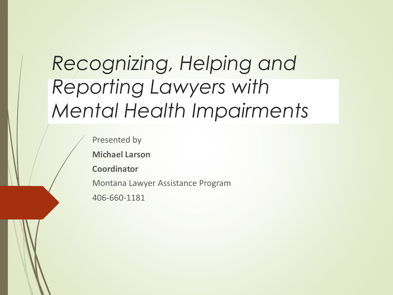### *Recognizing, Helping and Reporting Lawyers with Mental Health Impairments*

Presented by

**Michael Larson**

**Coordinator**

Montana Lawyer Assistance Program

406-660-1181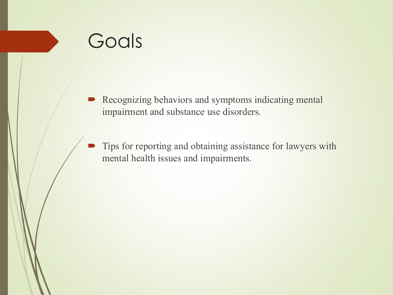### Goals

- Recognizing behaviors and symptoms indicating mental impairment and substance use disorders.
- Tips for reporting and obtaining assistance for lawyers with mental health issues and impairments.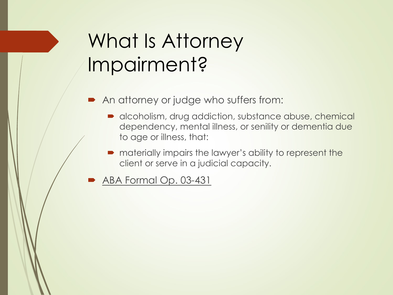## What Is Attorney Impairment?

- An attorney or judge who suffers from:
	- alcoholism, drug addiction, substance abuse, chemical dependency, mental illness, or senility or dementia due to age or illness, that:
	- $\blacksquare$  materially impairs the lawyer's ability to represent the client or serve in a judicial capacity.
- ABA Formal Op. 03-431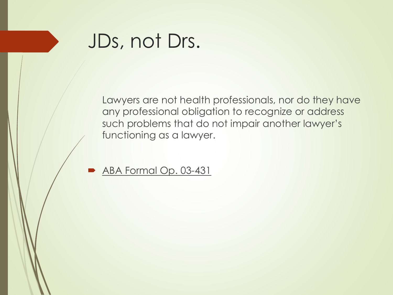### JDs, not Drs.

Lawyers are not health professionals, nor do they have any professional obligation to recognize or address such problems that do not impair another lawyer's functioning as a lawyer.

ABA Formal Op. 03-431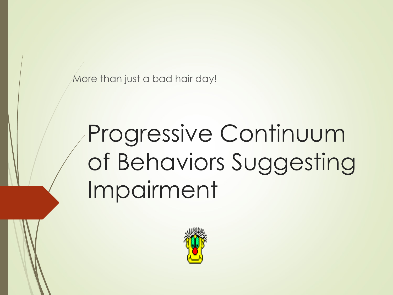More than just a bad hair day!

# Progressive Continuum of Behaviors Suggesting Impairment

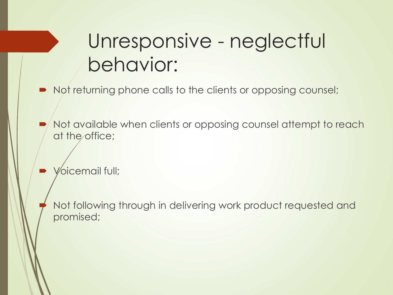### Unresponsive - neglectful behavior:

- $\blacksquare$  Not returning phone calls to the clients or opposing counsel;
- Not available when clients or opposing counsel attempt to reach at the office;
- Voicemail full;

Not following through in delivering work product requested and promised;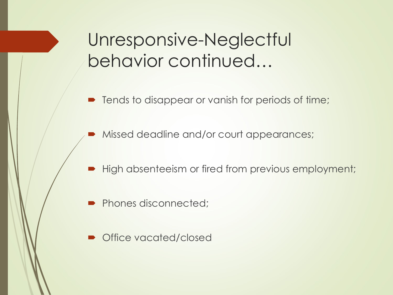### Unresponsive-Neglectful behavior continued…

- Tends to disappear or vanish for periods of time;
- Missed deadline and/or court appearances;
- High absenteeism or fired from previous employment;
- Phones disconnected;
- ´ Office vacated/closed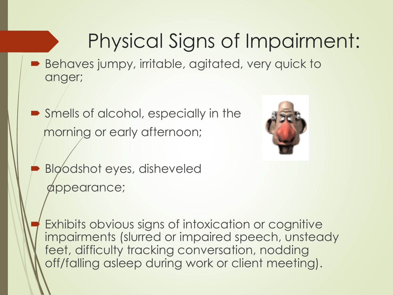## Physical Signs of Impairment:

- $\blacksquare$  Behaves jumpy, irritable, agitated, very quick to anger;
- $\blacktriangleright$  Smells of alcohol, especially in the morning or early afternoon;



- Bloodshot eyes, disheveled appearance;
	- Exhibits obvious signs of intoxication or cognitive impairments (slurred or impaired speech, unsteady feet, difficulty tracking conversation, nodding off/falling asleep during work or client meeting).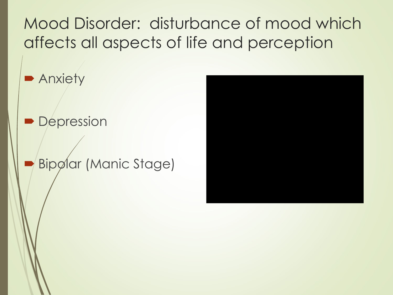Mood Disorder: disturbance of mood which affects all aspects of life and perception

**• Anxiety** 

• Depression

Bipølar (Manic Stage)

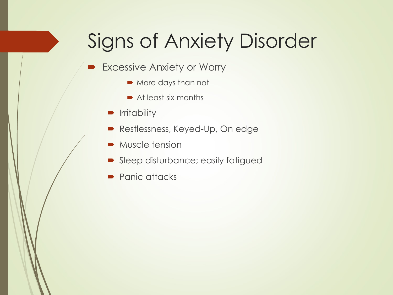## Signs of Anxiety Disorder

- Excessive Anxiety or Worry
	- More days than not
	- $\rightarrow$  At least six months
	- **•** Irritability
	- Restlessness, Keyed-Up, On edge
	- $\blacksquare$  Muscle tension
	- Sleep disturbance; easily fatigued
	- Panic attacks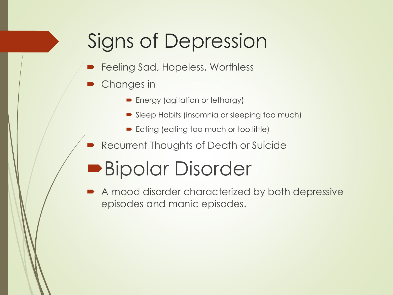## Signs of Depression

- Feeling Sad, Hopeless, Worthless
- Changes in
	- Energy (agitation or lethargy)
	- Sleep Habits (insomnia or sleeping too much)
	- Eating (eating too much or too little)
- Recurrent Thoughts of Death or Suicide

### **Bipolar Disorder**

A mood disorder characterized by both depressive episodes and manic episodes.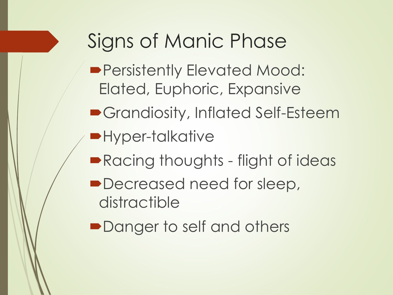## Signs of Manic Phase

- **Persistently Elevated Mood:** Elated, Euphoric, Expansive
- **Grandiosity, Inflated Self-Esteem**
- •Hyper-talkative
- Racing thoughts flight of ideas
- Decreased need for sleep, distractible
- Danger to self and others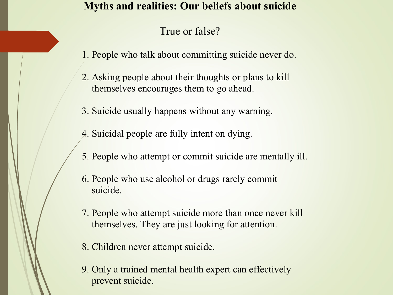### **Myths and realities: Our beliefs about suicide**

### True or false?

- 1. People who talk about committing suicide never do.
- 2. Asking people about their thoughts or plans to kill themselves encourages them to go ahead.
- 3. Suicide usually happens without any warning.
- 4. Suicidal people are fully intent on dying.
- 5. People who attempt or commit suicide are mentally ill.
- 6. People who use alcohol or drugs rarely commit suicide.
- 7. People who attempt suicide more than once never kill themselves. They are just looking for attention.
- 8. Children never attempt suicide.
- 9. Only a trained mental health expert can effectively prevent suicide.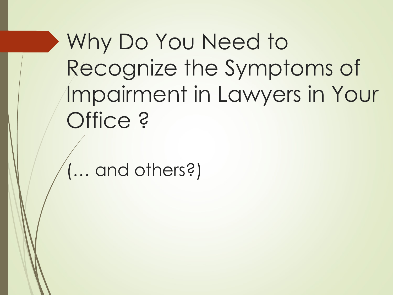Why Do You Need to Recognize the Symptoms of Impairment in Lawyers in Your Office ?

(… and others?)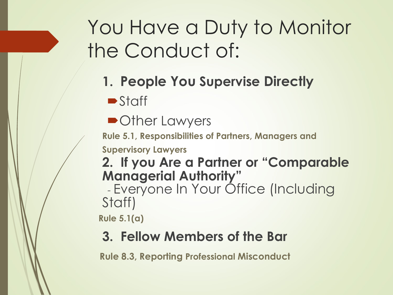## You Have a Duty to Monitor the Conduct of:

**1. People You Supervise Directly**

 $\blacktriangleright$  Staff

• Other Lawyers

**Rule 5.1, Responsibilities of Partners, Managers and** 

**Supervisory Lawyers**

**2. If you Are a Partner or "Comparable Managerial Authority"**

- Everyone In Your Office (Including Staff)

**Rule 5.1(a)**

### **3. Fellow Members of the Bar**

**Rule 8.3, Reporting Professional Misconduct**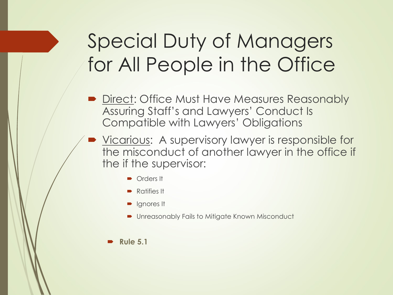## Special Duty of Managers for All People in the Office

- **Direct: Office Must Have Measures Reasonably** Assuring Staff's and Lawyers' Conduct Is Compatible with Lawyers' Obligations
- Vicarious: A supervisory lawyer is responsible for the misconduct of another lawyer in the office if the if the supervisor:
	- Orders It
	- $\blacksquare$  Ratifies It
	- Ignores It
	- Unreasonably Fails to Mitigate Known Misconduct

#### ´ **Rule 5.1**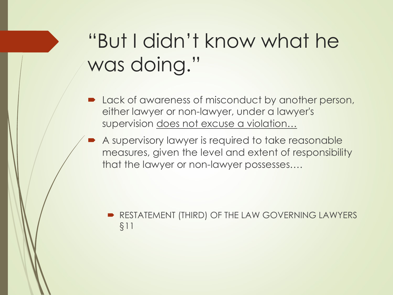## "But I didn't know what he was doing."

- Lack of awareness of misconduct by another person, either lawyer or non-lawyer, under a lawyer's supervision does not excuse a violation…
- A supervisory lawyer is required to take reasonable measures, given the level and extent of responsibility that the lawyer or non-lawyer possesses….

RESTATEMENT (THIRD) OF THE LAW GOVERNING LAWYERS §11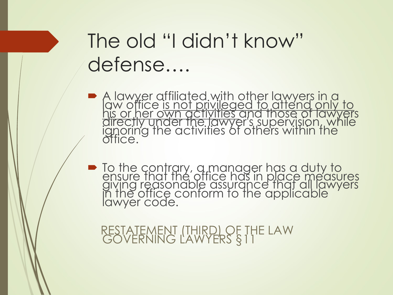## The old "I didn't know" defense….

- A lawyer affiliated with other lawyers in a<br>law office <u>is not privileged to attend only to</u><br>his or her own activities and those of lawyers<br>directly under the lawyer's supervision, while<br>ignoring the activities of others w
- ´ To the contrary, a manager has a duty to ensure that the office has in place measures giving reasonable assurance that all lawyers in the office conform to the applicable lawyer code.

RESTATEMENT (THIRD) OF THE LAW GOVERNING LAWYERS §11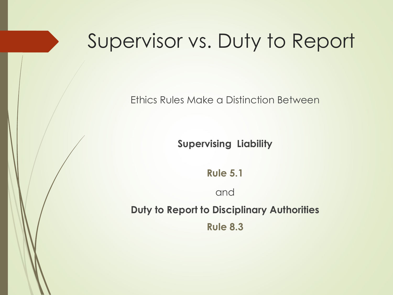### Supervisor vs. Duty to Report

Ethics Rules Make a Distinction Between

**Supervising Liability**

**Rule 5.1**

and

**Duty to Report to Disciplinary Authorities Rule 8.3**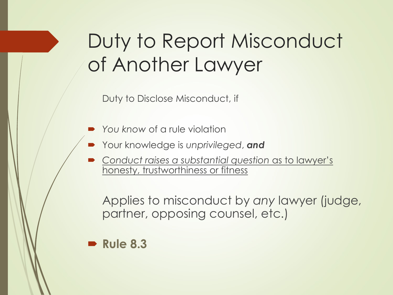## Duty to Report Misconduct of Another Lawyer

Duty to Disclose Misconduct, if

- ´ *You know* of a rule violation
- ´ Your knowledge is *unprivileged*, *and*
- ´ *Conduct raises a substantial question* as to lawyer's honesty, trustworthiness or fitness

Applies to misconduct by *any* lawyer (judge, partner, opposing counsel, etc.)

### $\blacktriangleright$  **Rule 8.3**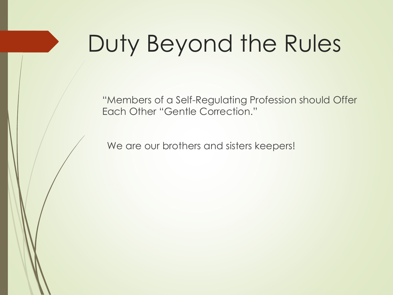# Duty Beyond the Rules

"Members of a Self-Regulating Profession should Offer Each Other "Gentle Correction."

We are our brothers and sisters keepers!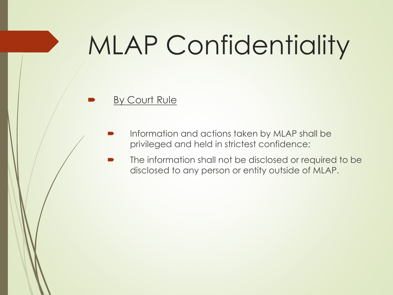# MLAP Confidentiality

#### By Court Rule

- Information and actions taken by MLAP shall be privileged and held in strictest confidence;
- The information shall not be disclosed or required to be disclosed to any person or entity outside of MLAP.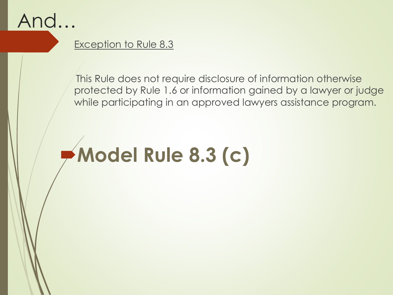

### Exception to Rule 8.3

This Rule does not require disclosure of information otherwise protected by Rule 1.6 or information gained by a lawyer or judge while participating in an approved lawyers assistance program.

# ´**Model Rule 8.3 (c)**